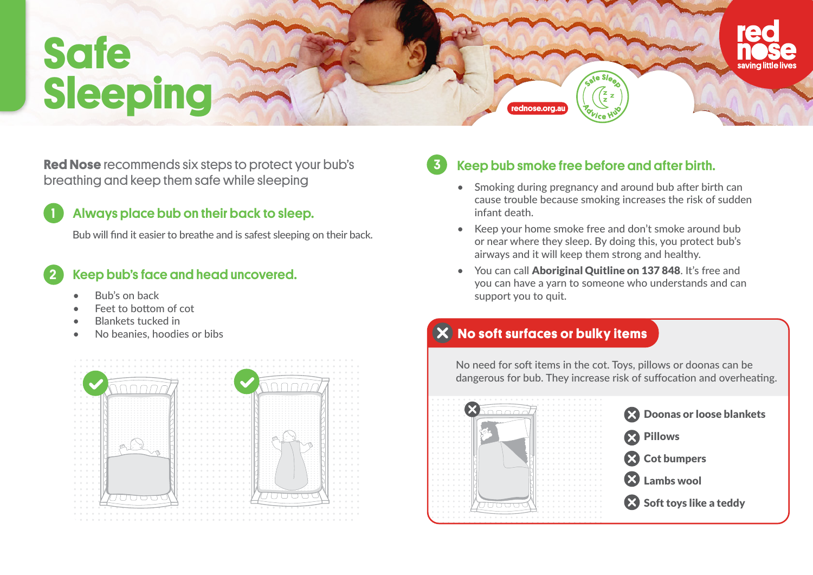# **Safe Sleeping**

**Red Nose** recommends six steps to protect your bub's breathing and keep them safe while sleeping example of the state of the shocking during pregnancy and around bub after birth can

### Always place bub on their back to sleep.

Bub will find it easier to breathe and is safest sleeping on their back.

#### Keep bub's face and head uncovered. 2

• Bub's on back

1

- Feet to bottom of cot
- Blankets tucked in
- No beanies, hoodies or bibs





# Keep bub smoke free before and after birth.

- cause trouble because smoking increases the risk of sudden infant death.
- Keep your home smoke free and don't smoke around bub or near where they sleep. By doing this, you protect bub's airways and it will keep them strong and healthy.
- You can call Aboriginal Quitline on 137 848. It's free and you can have a yarn to someone who understands and can support you to quit.

#### **No soft surfaces or bulky items**

**rednose.org.au**

No need for soft items in the cot. Toys, pillows or doonas can be dangerous for bub. They increase risk of suffocation and overheating.



**22 Doonas or loose blankets** 

<sup>2</sup> Cot bumpers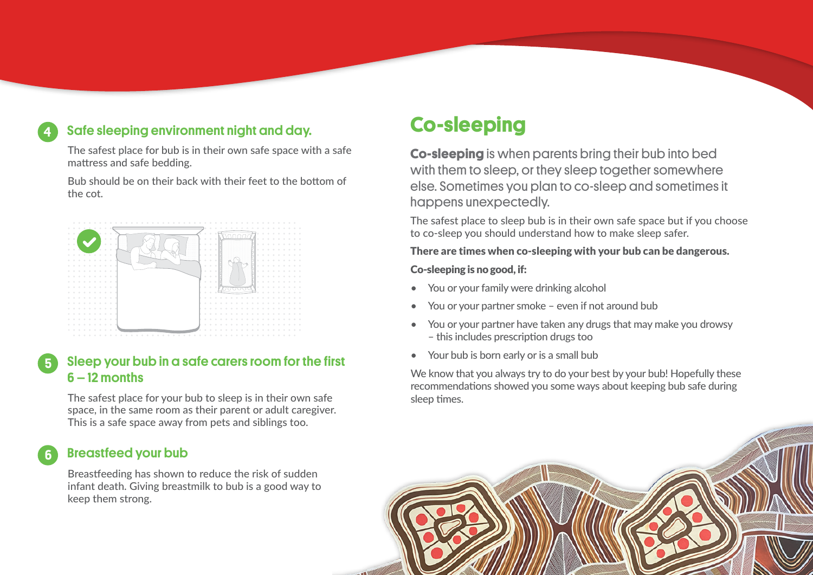# Safe sleeping environment night and day.

The safest place for bub is in their own safe space with a safe mattress and safe bedding.

Bub should be on their back with their feet to the bottom of the cot.



#### Sleep your bub in a safe carers room for the first 6 – 12 months

The safest place for your bub to sleep is in their own safe space, in the same room as their parent or adult caregiver. This is a safe space away from pets and siblings too.

#### Breastfeed your bub

4

5

6

Breastfeeding has shown to reduce the risk of sudden infant death. Giving breastmilk to bub is a good way to keep them strong.

# **Co-sleeping**

**Co-sleeping** is when parents bring their bub into bed with them to sleep, or they sleep together somewhere else. Sometimes you plan to co-sleep and sometimes it happens unexpectedly.

The safest place to sleep bub is in their own safe space but if you choose to co-sleep you should understand how to make sleep safer.

#### There are times when co-sleeping with your bub can be dangerous.

#### Co-sleeping is no good, if:

- You or your family were drinking alcohol
- You or your partner smoke even if not around bub
- You or your partner have taken any drugs that may make you drowsy – this includes prescription drugs too
- Your bub is born early or is a small bub

We know that you always try to do your best by your bub! Hopefully these recommendations showed you some ways about keeping bub safe during sleep times.